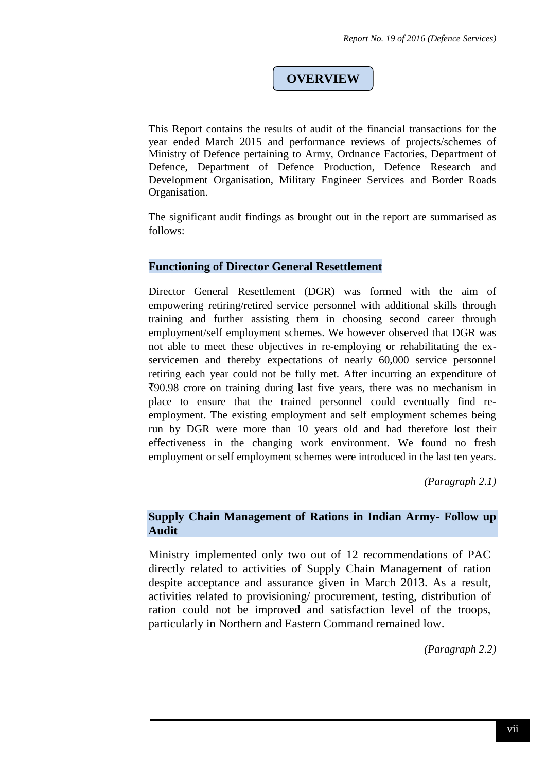# **OVERVIEW**

This Report contains the results of audit of the financial transactions for the year ended March 2015 and performance reviews of projects/schemes of Ministry of Defence pertaining to Army, Ordnance Factories, Department of Defence, Department of Defence Production, Defence Research and Development Organisation, Military Engineer Services and Border Roads Organisation.

The significant audit findings as brought out in the report are summarised as follows:

#### **Functioning of Director General Resettlement**

Director General Resettlement (DGR) was formed with the aim of empowering retiring/retired service personnel with additional skills through training and further assisting them in choosing second career through employment/self employment schemes. We however observed that DGR was not able to meet these objectives in re-employing or rehabilitating the exservicemen and thereby expectations of nearly 60,000 service personnel retiring each year could not be fully met. After incurring an expenditure of `90.98 crore on training during last five years, there was no mechanism in place to ensure that the trained personnel could eventually find reemployment. The existing employment and self employment schemes being run by DGR were more than 10 years old and had therefore lost their effectiveness in the changing work environment. We found no fresh employment or self employment schemes were introduced in the last ten years.

*(Paragraph 2.1)*

#### **Supply Chain Management of Rations in Indian Army- Follow up Audit**

Ministry implemented only two out of 12 recommendations of PAC directly related to activities of Supply Chain Management of ration despite acceptance and assurance given in March 2013. As a result, activities related to provisioning/ procurement, testing, distribution of ration could not be improved and satisfaction level of the troops, particularly in Northern and Eastern Command remained low.

*(Paragraph 2.2)*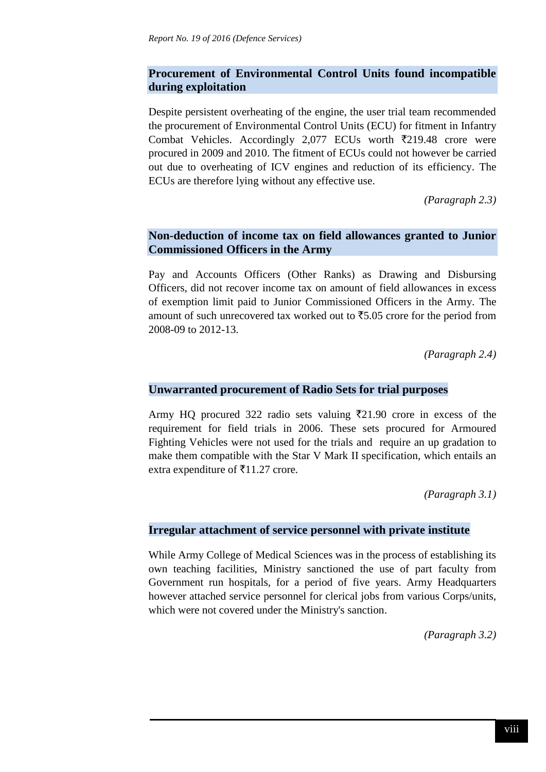# **Procurement of Environmental Control Units found incompatible during exploitation**

Despite persistent overheating of the engine, the user trial team recommended the procurement of Environmental Control Units (ECU) for fitment in Infantry Combat Vehicles. Accordingly 2,077 ECUs worth  $\overline{z}$ 219.48 crore were procured in 2009 and 2010. The fitment of ECUs could not however be carried out due to overheating of ICV engines and reduction of its efficiency. The ECUs are therefore lying without any effective use.

*(Paragraph 2.3)*

## **Non-deduction of income tax on field allowances granted to Junior Commissioned Officers in the Army**

Pay and Accounts Officers (Other Ranks) as Drawing and Disbursing Officers, did not recover income tax on amount of field allowances in excess of exemption limit paid to Junior Commissioned Officers in the Army. The amount of such unrecovered tax worked out to  $\overline{55.05}$  crore for the period from 2008-09 to 2012-13.

*(Paragraph 2.4)*

### **Unwarranted procurement of Radio Sets for trial purposes**

Army HQ procured 322 radio sets valuing  $\overline{z}21.90$  crore in excess of the requirement for field trials in 2006. These sets procured for Armoured Fighting Vehicles were not used for the trials and require an up gradation to make them compatible with the Star V Mark II specification, which entails an extra expenditure of  $\bar{\tau}$ 11.27 crore.

*(Paragraph 3.1)*

#### **Irregular attachment of service personnel with private institute**

While Army College of Medical Sciences was in the process of establishing its own teaching facilities, Ministry sanctioned the use of part faculty from Government run hospitals, for a period of five years. Army Headquarters however attached service personnel for clerical jobs from various Corps/units, which were not covered under the Ministry's sanction.

*(Paragraph 3.2)*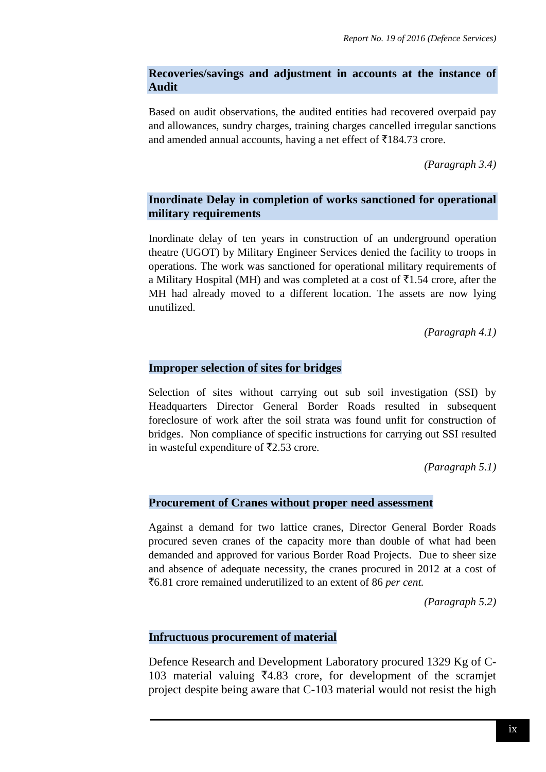# **Recoveries/savings and adjustment in accounts at the instance of Audit**

Based on audit observations, the audited entities had recovered overpaid pay and allowances, sundry charges, training charges cancelled irregular sanctions and amended annual accounts, having a net effect of  $\bar{\tau}$ 184.73 crore.

*(Paragraph 3.4)*

# **Inordinate Delay in completion of works sanctioned for operational military requirements**

Inordinate delay of ten years in construction of an underground operation theatre (UGOT) by Military Engineer Services denied the facility to troops in operations. The work was sanctioned for operational military requirements of a Military Hospital (MH) and was completed at a cost of  $\overline{5}1.54$  crore, after the MH had already moved to a different location. The assets are now lying unutilized.

*(Paragraph 4.1)*

### **Improper selection of sites for bridges**

Selection of sites without carrying out sub soil investigation (SSI) by Headquarters Director General Border Roads resulted in subsequent foreclosure of work after the soil strata was found unfit for construction of bridges. Non compliance of specific instructions for carrying out SSI resulted in wasteful expenditure of  $\overline{5}2.53$  crore.

*(Paragraph 5.1)*

### **Procurement of Cranes without proper need assessment**

Against a demand for two lattice cranes, Director General Border Roads procured seven cranes of the capacity more than double of what had been demanded and approved for various Border Road Projects. Due to sheer size and absence of adequate necessity, the cranes procured in 2012 at a cost of `6.81 crore remained underutilized to an extent of 86 *per cent.*

*(Paragraph 5.2)*

### **Infructuous procurement of material**

Defence Research and Development Laboratory procured 1329 Kg of C-103 material valuing  $\bar{\mathbf{z}}$ 4.83 crore, for development of the scramjet project despite being aware that C-103 material would not resist the high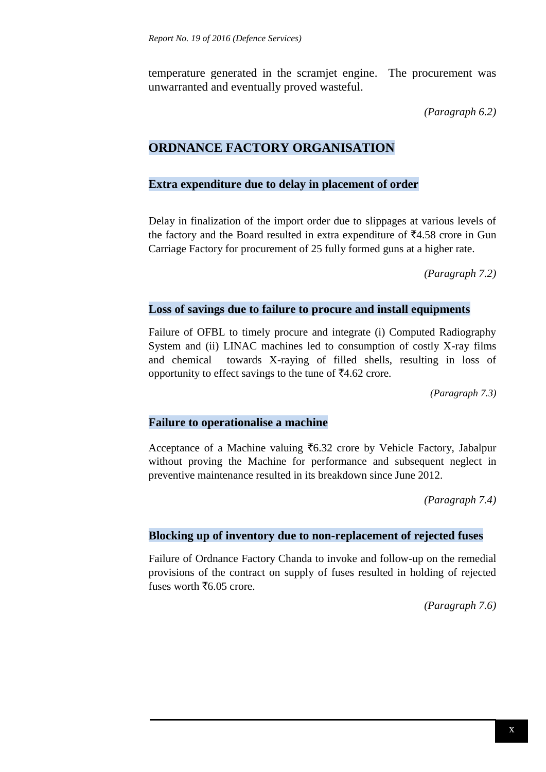temperature generated in the scramjet engine. The procurement was unwarranted and eventually proved wasteful.

*(Paragraph 6.2)*

# **ORDNANCE FACTORY ORGANISATION**

### **Extra expenditure due to delay in placement of order**

Delay in finalization of the import order due to slippages at various levels of the factory and the Board resulted in extra expenditure of  $\overline{5}4.58$  crore in Gun Carriage Factory for procurement of 25 fully formed guns at a higher rate.

*(Paragraph 7.2)*

### **Loss of savings due to failure to procure and install equipments**

Failure of OFBL to timely procure and integrate (i) Computed Radiography System and (ii) LINAC machines led to consumption of costly X-ray films and chemical towards X-raying of filled shells, resulting in loss of opportunity to effect savings to the tune of  $\text{\textsterling}4.62$  crore.

*(Paragraph 7.3)*

### **Failure to operationalise a machine**

Acceptance of a Machine valuing  $\bar{f}$ 6.32 crore by Vehicle Factory, Jabalpur without proving the Machine for performance and subsequent neglect in preventive maintenance resulted in its breakdown since June 2012.

*(Paragraph 7.4)*

### **Blocking up of inventory due to non-replacement of rejected fuses**

Failure of Ordnance Factory Chanda to invoke and follow-up on the remedial provisions of the contract on supply of fuses resulted in holding of rejected fuses worth  $\bar{f}6.05$  crore.

*(Paragraph 7.6)*